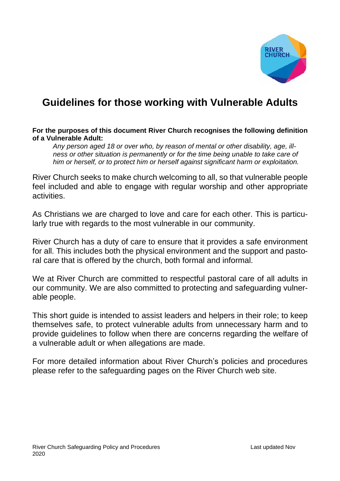

## **Guidelines for those working with Vulnerable Adults**

#### **For the purposes of this document River Church recognises the following definition of a Vulnerable Adult:**

 *Any person aged 18 or over who, by reason of mental or other disability, age, illness or other situation is permanently or for the time being unable to take care of him or herself, or to protect him or herself against significant harm or exploitation.*

River Church seeks to make church welcoming to all, so that vulnerable people feel included and able to engage with regular worship and other appropriate activities.

As Christians we are charged to love and care for each other. This is particularly true with regards to the most vulnerable in our community.

River Church has a duty of care to ensure that it provides a safe environment for all. This includes both the physical environment and the support and pastoral care that is offered by the church, both formal and informal.

We at River Church are committed to respectful pastoral care of all adults in our community. We are also committed to protecting and safeguarding vulnerable people.

This short guide is intended to assist leaders and helpers in their role; to keep themselves safe, to protect vulnerable adults from unnecessary harm and to provide guidelines to follow when there are concerns regarding the welfare of a vulnerable adult or when allegations are made.

For more detailed information about River Church's policies and procedures please refer to the safeguarding pages on the River Church web site.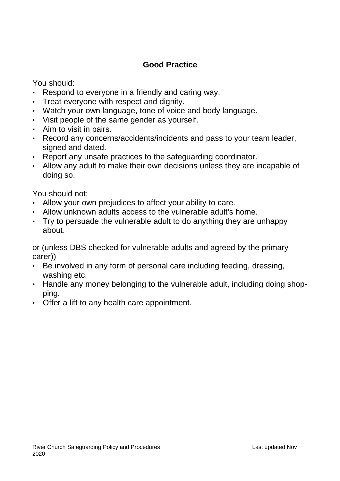#### **Good Practice**

You should:

- Respond to everyone in a friendly and caring way.
- Treat everyone with respect and dignity.
- Watch your own language, tone of voice and body language.
- Visit people of the same gender as yourself.
- Aim to visit in pairs.
- Record any concerns/accidents/incidents and pass to your team leader, signed and dated.
- Report any unsafe practices to the safeguarding coordinator.
- Allow any adult to make their own decisions unless they are incapable of doing so.

You should not:

- Allow your own prejudices to affect your ability to care.
- Allow unknown adults access to the vulnerable adult's home.
- Try to persuade the vulnerable adult to do anything they are unhappy about.

or (unless DBS checked for vulnerable adults and agreed by the primary carer))

- Be involved in any form of personal care including feeding, dressing, washing etc.
- Handle any money belonging to the vulnerable adult, including doing shopping.
- Offer a lift to any health care appointment.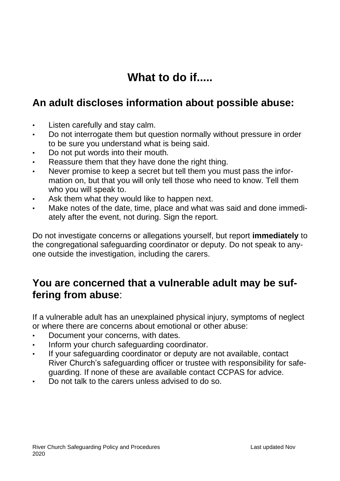# **What to do if.....**

### **An adult discloses information about possible abuse:**

- Listen carefully and stay calm.
- Do not interrogate them but question normally without pressure in order to be sure you understand what is being said.
- Do not put words into their mouth.
- Reassure them that they have done the right thing.
- Never promise to keep a secret but tell them you must pass the information on, but that you will only tell those who need to know. Tell them who you will speak to.
- Ask them what they would like to happen next.
- Make notes of the date, time, place and what was said and done immediately after the event, not during. Sign the report.

Do not investigate concerns or allegations yourself, but report **immediately** to the congregational safeguarding coordinator or deputy. Do not speak to anyone outside the investigation, including the carers.

### **You are concerned that a vulnerable adult may be suffering from abuse**:

If a vulnerable adult has an unexplained physical injury, symptoms of neglect or where there are concerns about emotional or other abuse:

- Document your concerns, with dates.
- Inform your church safeguarding coordinator.
- If your safeguarding coordinator or deputy are not available, contact River Church's safeguarding officer or trustee with responsibility for safeguarding. If none of these are available contact CCPAS for advice.
- Do not talk to the carers unless advised to do so.